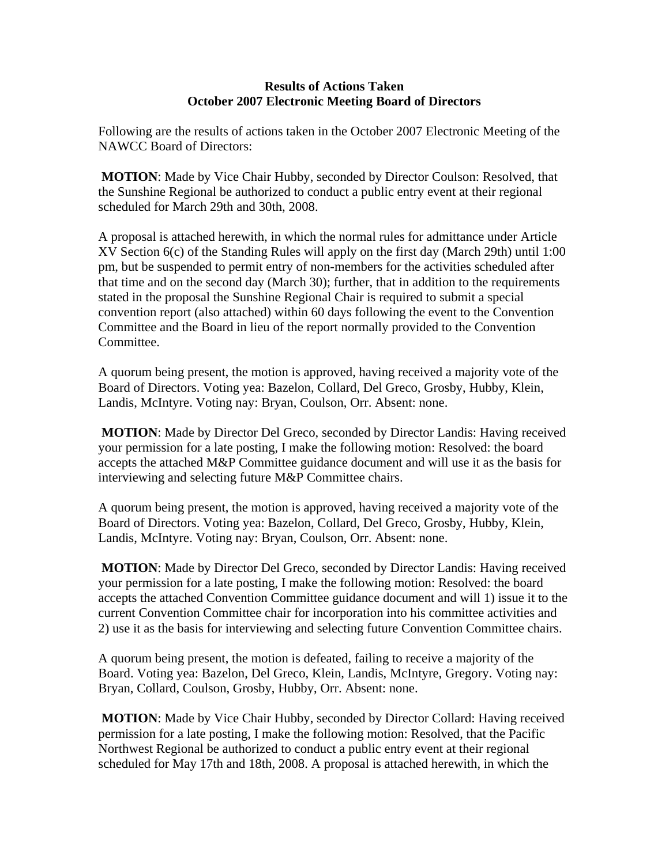## **Results of Actions Taken October 2007 Electronic Meeting Board of Directors**

Following are the results of actions taken in the October 2007 Electronic Meeting of the NAWCC Board of Directors:

 **MOTION**: Made by Vice Chair Hubby, seconded by Director Coulson: Resolved, that the Sunshine Regional be authorized to conduct a public entry event at their regional scheduled for March 29th and 30th, 2008.

A proposal is attached herewith, in which the normal rules for admittance under Article XV Section 6(c) of the Standing Rules will apply on the first day (March 29th) until 1:00 pm, but be suspended to permit entry of non-members for the activities scheduled after that time and on the second day (March 30); further, that in addition to the requirements stated in the proposal the Sunshine Regional Chair is required to submit a special convention report (also attached) within 60 days following the event to the Convention Committee and the Board in lieu of the report normally provided to the Convention Committee.

A quorum being present, the motion is approved, having received a majority vote of the Board of Directors. Voting yea: Bazelon, Collard, Del Greco, Grosby, Hubby, Klein, Landis, McIntyre. Voting nay: Bryan, Coulson, Orr. Absent: none.

 **MOTION**: Made by Director Del Greco, seconded by Director Landis: Having received your permission for a late posting, I make the following motion: Resolved: the board accepts the attached M&P Committee guidance document and will use it as the basis for interviewing and selecting future M&P Committee chairs.

A quorum being present, the motion is approved, having received a majority vote of the Board of Directors. Voting yea: Bazelon, Collard, Del Greco, Grosby, Hubby, Klein, Landis, McIntyre. Voting nay: Bryan, Coulson, Orr. Absent: none.

 **MOTION**: Made by Director Del Greco, seconded by Director Landis: Having received your permission for a late posting, I make the following motion: Resolved: the board accepts the attached Convention Committee guidance document and will 1) issue it to the current Convention Committee chair for incorporation into his committee activities and 2) use it as the basis for interviewing and selecting future Convention Committee chairs.

A quorum being present, the motion is defeated, failing to receive a majority of the Board. Voting yea: Bazelon, Del Greco, Klein, Landis, McIntyre, Gregory. Voting nay: Bryan, Collard, Coulson, Grosby, Hubby, Orr. Absent: none.

 **MOTION**: Made by Vice Chair Hubby, seconded by Director Collard: Having received permission for a late posting, I make the following motion: Resolved, that the Pacific Northwest Regional be authorized to conduct a public entry event at their regional scheduled for May 17th and 18th, 2008. A proposal is attached herewith, in which the